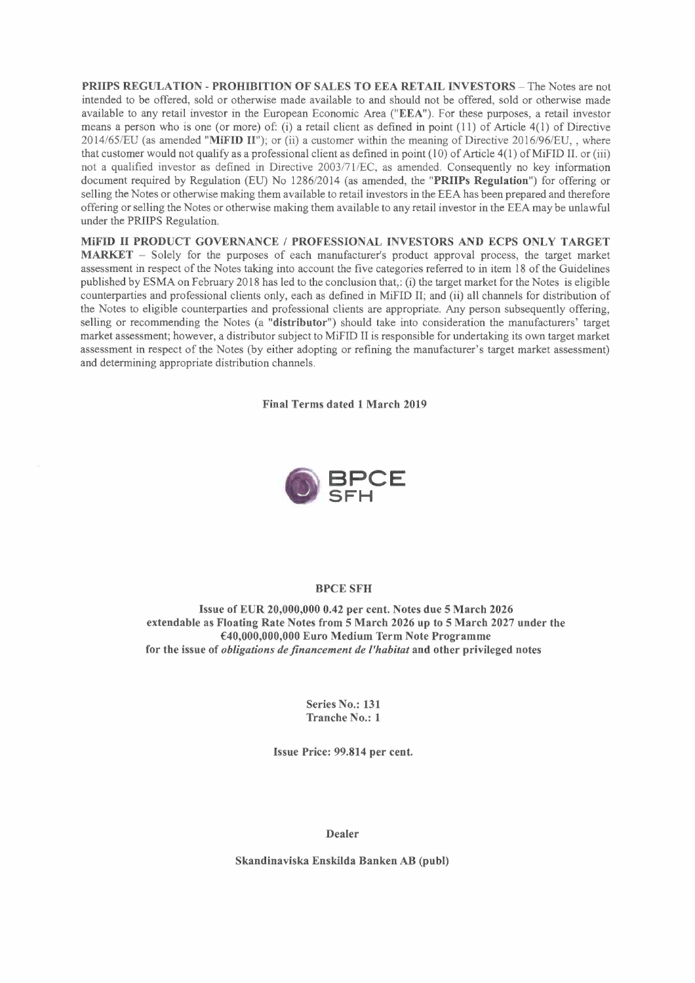**PRIIPS REGULATION - PROHIBITION OF SALES TO EEA RETAIL INVESTORS -** The Notes are not intended to be offered, sold or otherwise made available to and should not be offered, sold or otherwise made available to any retail investor in the European Economic Area **("EEA").** For these purposes, a retail investor means a person who is one (or more) of: (i) a retail client as defined in point (11) of Article 4(1) of Directive 2014/65/EU (as amended **"MiFID 11");** or (ii) a customer within the meaning of Directive 2016/96/EU,, where that customer would not qualify as a professional client as defined in point  $(10)$  of Article  $4(1)$  of MiFID II. or (iii) not a qualified investor as defined in Directive 2003/71/EC, as amended. Consequently no key information document required by Regulation (EU) No 1286/2014 (as amended, the **"PRIIPs Regulation")** for offering or selling the Notes or otherwise making them available to retail investors in the EEA has been prepared and therefore offering or selling the Notes or otherwise making them available to any retail investor in the EEA may be unlawful under the PRIIPS Regulation.

**MiFID II PRODUCT GOVERNANCE/ PROFESSIONAL INVESTORS AND ECPS ONLY TARGET MARKET -** Solely for the purposes of each manufacturer's product approval process, the target market assessment in respect of the Notes taking into account the five categories referred to in item 18 of the Guidelines published by ESMA on February 2018 has led to the conclusion that,: (i) the target market for the Notes is eligible counterparties and professional clients only, each as defined in MiFID II; and (ii) all channels for distribution of the Notes to eligible counterparties and professional clients are appropriate. Any person subsequently offering, selling or recommending the Notes (a **"distributor")** should. take into consideration the manufacturers' target market assessment; however, a distributor subject to MiFID II is responsible for undertaking its own target market assessment in respect of the Notes (by either adopting or refining the manufacturer's target market assessment) and determining appropriate distribution channels.

**Final Terms dated 1 March 2019** 



#### **BPCE SFH**

**Issue of EUR 20,000,000 0.42 per cent. Notes due 5 March 2026 extendable as Floating Rate Notes from 5 March 2026 up to 5 March 2027 under the €40,000,000,000 Euro Medium Term Note Programme for the issue of** *obligations de financement de l'habitat* **and other privileged notes** 

> **Series No.: 131 Tranche No.: 1**

**Issue Price: 99.814 per cent.** 

**Dealer** 

**Skandinaviska Enskilda Banken AB (publ)**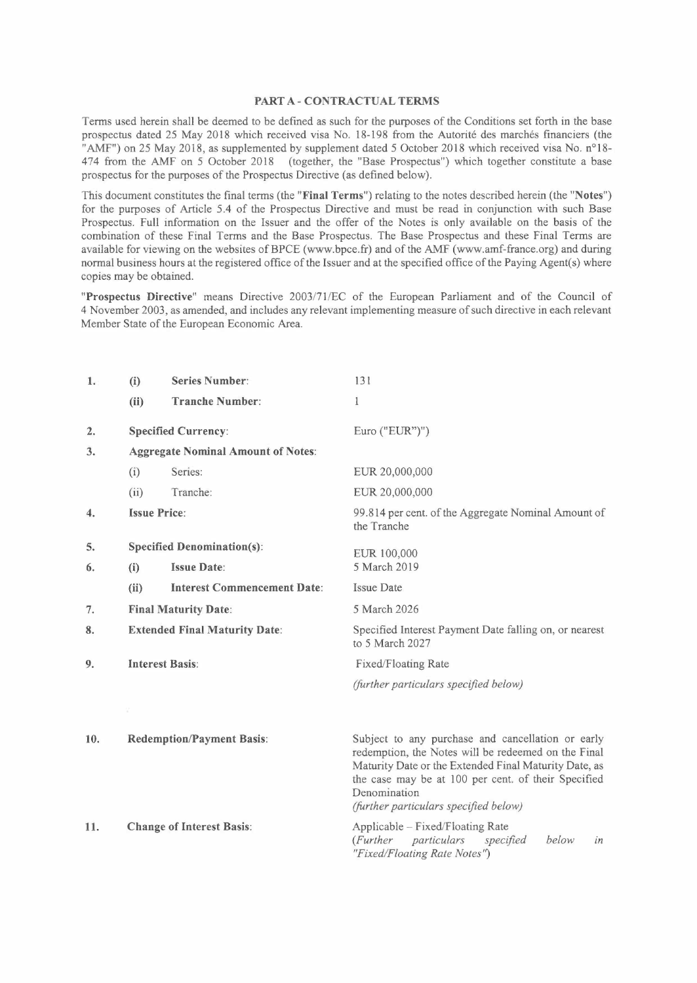#### **PART A-CONTRACTUAL TERMS**

Terms used herein shall be deemed to be defined as such for the purposes of the Conditions set forth in the base prospectus dated 25 May 2018 which received visa No. 18-198 from the Autorité des marchés financiers (the "AMF") on 25 May 2018, as supplemented by supplement dated 5 October 2018 which received visa No. n° 18- 474 from the AMF on 5 October 2018 (together, the "Base Prospectus") which together constitute a base prospectus for the purposes of the Prospectus Directive (as defined below).

This document constitutes the final terms (the **"Final Terms")** relating to the notes described herein (the **"Notes")**  for the purposes of Article 5.4 of the Prospectus Directive and must be read in conjunction with such Base Prospectus. Full information on the Issuer and the offer of the Notes is only available on the basis of the combination of these Final Terms and the Base Prospectus. The Base Prospectus and these Final Terms are available for viewing on the websites of BPCE (www.bpce.fr) and of the AMF (www.amf-france.org) and during normal business hours at the registered office of the Issuer and at the specified office of the Paying Agent(s) where copies may be obtained.

**"Prospectus Directive"** means Directive 2003/71/EC of the European Parliament and of the Council of 4 November 2003, as amended, and includes any relevant implementing measure of such directive in each relevant Member State of the European Economic Area.

| 1.  | (i)                                       | <b>Series Number:</b>              | 131                                                                                                                                                                                                                                                                               |
|-----|-------------------------------------------|------------------------------------|-----------------------------------------------------------------------------------------------------------------------------------------------------------------------------------------------------------------------------------------------------------------------------------|
|     | (ii)                                      | <b>Tranche Number:</b>             | $\mathbf{1}$                                                                                                                                                                                                                                                                      |
| 2.  |                                           | <b>Specified Currency:</b>         | Euro ("EUR")")                                                                                                                                                                                                                                                                    |
| 3.  | <b>Aggregate Nominal Amount of Notes:</b> |                                    |                                                                                                                                                                                                                                                                                   |
|     | (i)                                       | Series:                            | EUR 20,000,000                                                                                                                                                                                                                                                                    |
|     | (ii)                                      | Tranche:                           | EUR 20,000,000                                                                                                                                                                                                                                                                    |
| 4.  | <b>Issue Price:</b>                       |                                    | 99.814 per cent. of the Aggregate Nominal Amount of<br>the Tranche                                                                                                                                                                                                                |
| 5.  | <b>Specified Denomination(s):</b>         |                                    | EUR 100,000                                                                                                                                                                                                                                                                       |
| 6.  | (i)                                       | <b>Issue Date:</b>                 | 5 March 2019                                                                                                                                                                                                                                                                      |
|     | (ii)                                      | <b>Interest Commencement Date:</b> | <b>Issue Date</b>                                                                                                                                                                                                                                                                 |
| 7.  | <b>Final Maturity Date:</b>               |                                    | 5 March 2026                                                                                                                                                                                                                                                                      |
| 8.  | <b>Extended Final Maturity Date:</b>      |                                    | Specified Interest Payment Date falling on, or nearest<br>to 5 March 2027                                                                                                                                                                                                         |
| 9.  | <b>Interest Basis:</b>                    |                                    | Fixed/Floating Rate                                                                                                                                                                                                                                                               |
|     |                                           |                                    | (further particulars specified below)                                                                                                                                                                                                                                             |
|     |                                           |                                    |                                                                                                                                                                                                                                                                                   |
| 10. |                                           | <b>Redemption/Payment Basis:</b>   | Subject to any purchase and cancellation or early<br>redemption, the Notes will be redeemed on the Final<br>Maturity Date or the Extended Final Maturity Date, as<br>the case may be at 100 per cent. of their Specified<br>Denomination<br>(further particulars specified below) |
| 11. |                                           | <b>Change of Interest Basis:</b>   | Applicable - Fixed/Floating Rate<br>(Further particulars<br>specified<br>below<br>in<br>"Fixed/Floating Rate Notes")                                                                                                                                                              |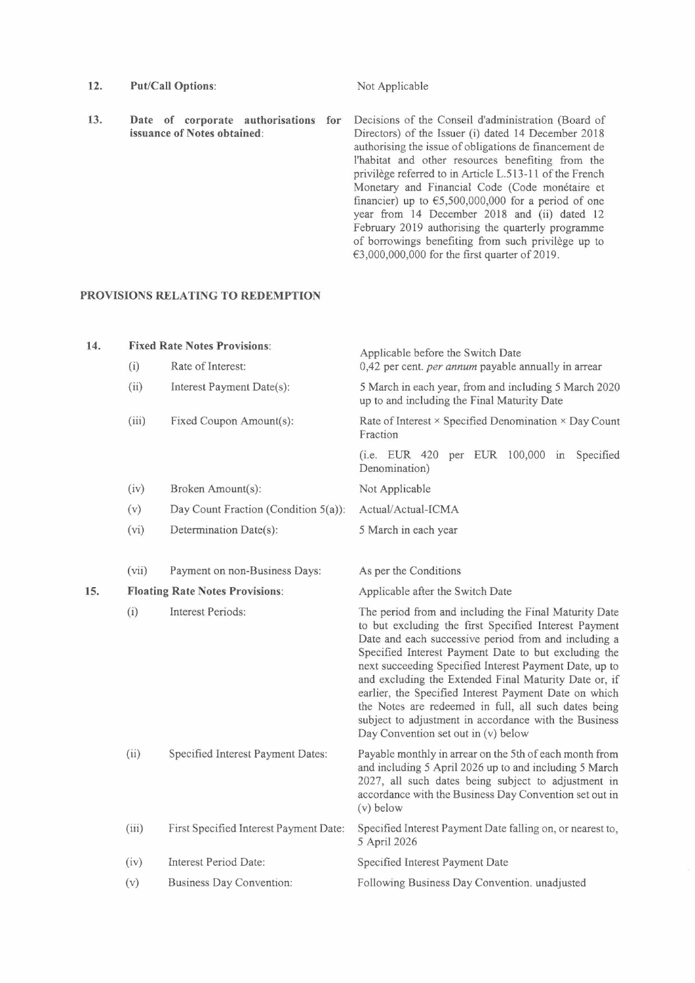- 12. Put/Call Options: Not Applicable
- **13. Date of corporate authorisations for issuance of Notes obtained:**  Decisions of the Conseil d'administration (Board of Directors) of the Issuer (i) dated 14 December 2018 authorising the issue of obligations de financement de l'habitat and other resources benefiting from the privilège referred to in Article L.513-11 of the French Monetary and Financial Code (Code monétaire et financier) up to  $65,500,000,000$  for a period of one year from 14 December 2018 and (ii) dated 12 February 2019 authorising the quarterly programme of borrowings benefiting from such privilège up to €3,000,000,000 for the first quarter of 2019.

### **PROVISIONS RELATING TO REDEMPTION**

| 14. |       | <b>Fixed Rate Notes Provisions:</b>    | Applicable before the Switch Date                                                                                                                                                                                                                                                                                                                                                                                                                                                                                                                                  |
|-----|-------|----------------------------------------|--------------------------------------------------------------------------------------------------------------------------------------------------------------------------------------------------------------------------------------------------------------------------------------------------------------------------------------------------------------------------------------------------------------------------------------------------------------------------------------------------------------------------------------------------------------------|
|     | (i)   | Rate of Interest:                      | 0,42 per cent. per annum payable annually in arrear                                                                                                                                                                                                                                                                                                                                                                                                                                                                                                                |
|     | (ii)  | Interest Payment Date(s):              | 5 March in each year, from and including 5 March 2020<br>up to and including the Final Maturity Date                                                                                                                                                                                                                                                                                                                                                                                                                                                               |
|     | (iii) | Fixed Coupon Amount(s):                | Rate of Interest $\times$ Specified Denomination $\times$ Day Count<br>Fraction                                                                                                                                                                                                                                                                                                                                                                                                                                                                                    |
|     |       |                                        | (i.e. EUR 420 per EUR 100,000 in<br>Specified<br>Denomination)                                                                                                                                                                                                                                                                                                                                                                                                                                                                                                     |
|     | (iv)  | Broken Amount(s):                      | Not Applicable                                                                                                                                                                                                                                                                                                                                                                                                                                                                                                                                                     |
|     | (v)   | Day Count Fraction (Condition 5(a)):   | Actual/Actual-ICMA                                                                                                                                                                                                                                                                                                                                                                                                                                                                                                                                                 |
|     | (vi)  | Determination Date(s):                 | 5 March in each year                                                                                                                                                                                                                                                                                                                                                                                                                                                                                                                                               |
|     |       |                                        |                                                                                                                                                                                                                                                                                                                                                                                                                                                                                                                                                                    |
|     | (vii) | Payment on non-Business Days:          | As per the Conditions                                                                                                                                                                                                                                                                                                                                                                                                                                                                                                                                              |
| 15. |       | <b>Floating Rate Notes Provisions:</b> | Applicable after the Switch Date                                                                                                                                                                                                                                                                                                                                                                                                                                                                                                                                   |
|     | (i)   | <b>Interest Periods:</b>               | The period from and including the Final Maturity Date<br>to but excluding the first Specified Interest Payment<br>Date and each successive period from and including a<br>Specified Interest Payment Date to but excluding the<br>next succeeding Specified Interest Payment Date, up to<br>and excluding the Extended Final Maturity Date or, if<br>earlier, the Specified Interest Payment Date on which<br>the Notes are redeemed in full, all such dates being<br>subject to adjustment in accordance with the Business<br>Day Convention set out in (v) below |
|     | (ii)  | Specified Interest Payment Dates:      | Payable monthly in arrear on the 5th of each month from<br>and including 5 April 2026 up to and including 5 March<br>2027, all such dates being subject to adjustment in<br>accordance with the Business Day Convention set out in<br>$(v)$ below                                                                                                                                                                                                                                                                                                                  |
|     | (iii) | First Specified Interest Payment Date: | Specified Interest Payment Date falling on, or nearest to,<br>5 April 2026                                                                                                                                                                                                                                                                                                                                                                                                                                                                                         |
|     | (iv)  | Interest Period Date:                  | Specified Interest Payment Date                                                                                                                                                                                                                                                                                                                                                                                                                                                                                                                                    |
|     | (v)   | <b>Business Day Convention:</b>        | Following Business Day Convention. unadjusted                                                                                                                                                                                                                                                                                                                                                                                                                                                                                                                      |
|     |       |                                        |                                                                                                                                                                                                                                                                                                                                                                                                                                                                                                                                                                    |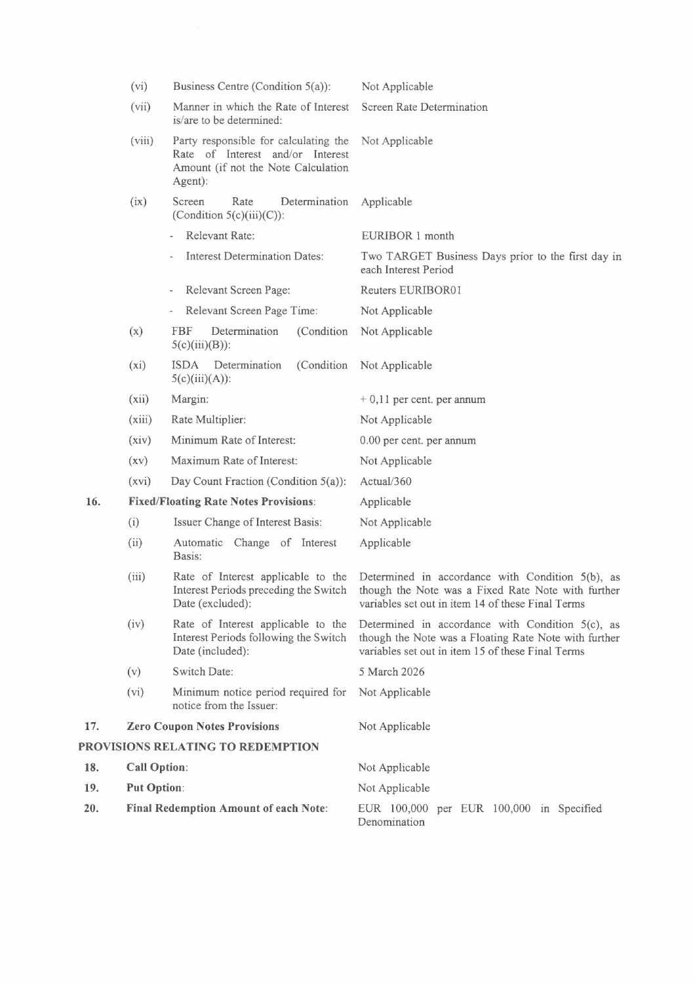|     | (vi)                                  | Business Centre (Condition $5(a)$ ):                                                                                        | Not Applicable                                                                                                                                                    |
|-----|---------------------------------------|-----------------------------------------------------------------------------------------------------------------------------|-------------------------------------------------------------------------------------------------------------------------------------------------------------------|
|     | (vii)                                 | Manner in which the Rate of Interest<br>is/are to be determined:                                                            | Screen Rate Determination                                                                                                                                         |
|     | (viii)                                | Party responsible for calculating the<br>Rate of Interest and/or Interest<br>Amount (if not the Note Calculation<br>Agent): | Not Applicable                                                                                                                                                    |
|     | (ix)                                  | Screen<br>Rate<br>Determination<br>(Condition $5(c)(iii)(C)$ ):                                                             | Applicable                                                                                                                                                        |
|     |                                       | Relevant Rate:                                                                                                              | EURIBOR 1 month                                                                                                                                                   |
|     |                                       | <b>Interest Determination Dates:</b>                                                                                        | Two TARGET Business Days prior to the first day in<br>each Interest Period                                                                                        |
|     |                                       | Relevant Screen Page:                                                                                                       | Reuters EURIBOR01                                                                                                                                                 |
|     |                                       | Relevant Screen Page Time:                                                                                                  | Not Applicable                                                                                                                                                    |
|     | (x)                                   | <b>FBF</b><br>(Condition)<br>Determination<br>$5(c)(iii)(B))$ :                                                             | Not Applicable                                                                                                                                                    |
|     | $(x_i)$                               | <b>ISDA</b><br>Determination<br>(Condition)<br>$5(c)(iii)(A))$ :                                                            | Not Applicable                                                                                                                                                    |
|     | (xii)                                 | Margin:                                                                                                                     | $+0,11$ per cent. per annum                                                                                                                                       |
|     | (xiii)                                | Rate Multiplier:                                                                                                            | Not Applicable                                                                                                                                                    |
|     | (xiv)                                 | Minimum Rate of Interest:                                                                                                   | 0.00 per cent. per annum                                                                                                                                          |
|     | (xv)                                  | Maximum Rate of Interest:                                                                                                   | Not Applicable                                                                                                                                                    |
|     | (xvi)                                 | Day Count Fraction (Condition 5(a)):                                                                                        | Actual/360                                                                                                                                                        |
| 16. |                                       | <b>Fixed/Floating Rate Notes Provisions:</b>                                                                                | Applicable                                                                                                                                                        |
|     | (i)                                   | Issuer Change of Interest Basis:                                                                                            | Not Applicable                                                                                                                                                    |
|     | (ii)                                  | Automatic Change of Interest<br>Basis:                                                                                      | Applicable                                                                                                                                                        |
|     | (iii)                                 | Rate of Interest applicable to the<br>Interest Periods preceding the Switch<br>Date (excluded):                             | Determined in accordance with Condition $5(b)$ , as<br>though the Note was a Fixed Rate Note with further<br>variables set out in item 14 of these Final Terms    |
|     | (iv)                                  | Rate of Interest applicable to the<br>Interest Periods following the Switch<br>Date (included):                             | Determined in accordance with Condition $5(c)$ , as<br>though the Note was a Floating Rate Note with further<br>variables set out in item 15 of these Final Terms |
|     | (v)                                   | Switch Date:                                                                                                                | 5 March 2026                                                                                                                                                      |
|     | (vi)                                  | Minimum notice period required for<br>notice from the Issuer:                                                               | Not Applicable                                                                                                                                                    |
| 17. | <b>Zero Coupon Notes Provisions</b>   |                                                                                                                             | Not Applicable                                                                                                                                                    |
|     |                                       | PROVISIONS RELATING TO REDEMPTION                                                                                           |                                                                                                                                                                   |
| 18. | <b>Call Option:</b>                   |                                                                                                                             | Not Applicable                                                                                                                                                    |
| 19. | <b>Put Option:</b>                    |                                                                                                                             | Not Applicable                                                                                                                                                    |
| 20. | Final Redemption Amount of each Note: |                                                                                                                             | EUR 100,000 per EUR 100,000 in Specified<br>Denomination                                                                                                          |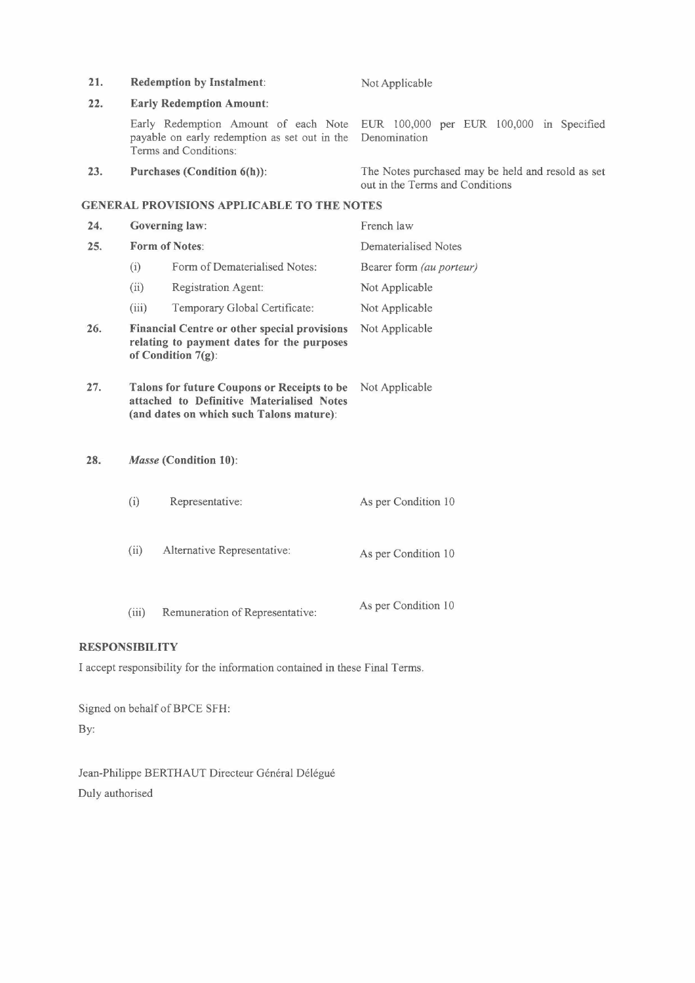| 21. | <b>Redemption by Instalment:</b>                                                                                                     |                                                                                                                | Not Applicable                                                                       |  |
|-----|--------------------------------------------------------------------------------------------------------------------------------------|----------------------------------------------------------------------------------------------------------------|--------------------------------------------------------------------------------------|--|
| 22. | <b>Early Redemption Amount:</b>                                                                                                      |                                                                                                                |                                                                                      |  |
|     |                                                                                                                                      | Early Redemption Amount of each Note<br>payable on early redemption as set out in the<br>Terms and Conditions: | EUR 100,000 per EUR 100,000 in Specified<br>Denomination                             |  |
| 23. | Purchases (Condition 6(h)):                                                                                                          |                                                                                                                | The Notes purchased may be held and resold as set<br>out in the Terms and Conditions |  |
|     |                                                                                                                                      | <b>GENERAL PROVISIONS APPLICABLE TO THE NOTES</b>                                                              |                                                                                      |  |
| 24. | <b>Governing law:</b>                                                                                                                |                                                                                                                | French law                                                                           |  |
| 25. | Form of Notes:                                                                                                                       |                                                                                                                | Dematerialised Notes                                                                 |  |
|     | (i)                                                                                                                                  | Form of Dematerialised Notes:                                                                                  | Bearer form (au porteur)                                                             |  |
|     | (ii)                                                                                                                                 | Registration Agent:                                                                                            | Not Applicable                                                                       |  |
|     | (iii)                                                                                                                                | Temporary Global Certificate:                                                                                  | Not Applicable                                                                       |  |
| 26. | Financial Centre or other special provisions<br>relating to payment dates for the purposes<br>of Condition 7(g):                     |                                                                                                                | Not Applicable                                                                       |  |
| 27. | Talons for future Coupons or Receipts to be<br>attached to Definitive Materialised Notes<br>(and dates on which such Talons mature): |                                                                                                                | Not Applicable                                                                       |  |
| 28. | Masse (Condition 10):                                                                                                                |                                                                                                                |                                                                                      |  |
|     | (i)                                                                                                                                  | Representative:                                                                                                | As per Condition 10                                                                  |  |
|     | (ii)                                                                                                                                 | Alternative Representative:                                                                                    | As per Condition 10                                                                  |  |

# (iii) Remuneration of Representative: As per Condition <sup>10</sup>

# **RESPONSIBILITY**

I accept responsibility for the information contained in these Final Terms.

Signed on behalf of BPCE SFH: By:

Jean-Philippe BERTHAUT Directeur Général Délégué Duly authorised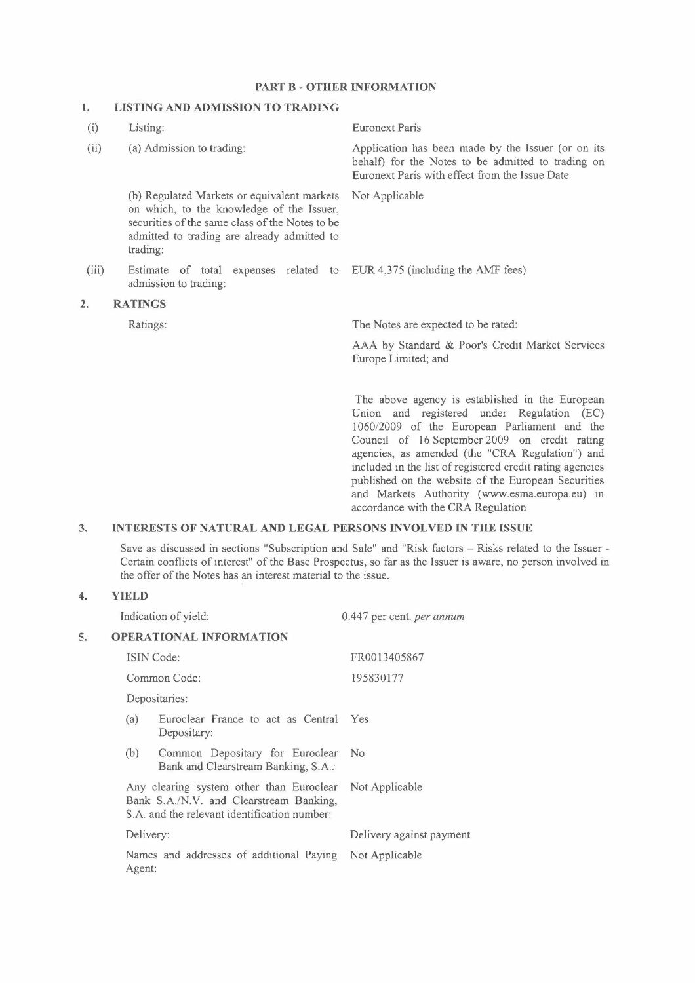## **PART B - OTHER INFORMATION**

# **1. LISTING AND ADMISSION TO TRADING**

| (i)              | Listing:                                                                                                                                                                                               | <b>Euronext Paris</b>                                                                                                                                                                                                                                                                                                                                                                                                                                        |
|------------------|--------------------------------------------------------------------------------------------------------------------------------------------------------------------------------------------------------|--------------------------------------------------------------------------------------------------------------------------------------------------------------------------------------------------------------------------------------------------------------------------------------------------------------------------------------------------------------------------------------------------------------------------------------------------------------|
| (ii)             | (a) Admission to trading:                                                                                                                                                                              | Application has been made by the Issuer (or on its<br>behalf) for the Notes to be admitted to trading on<br>Euronext Paris with effect from the Issue Date                                                                                                                                                                                                                                                                                                   |
|                  | (b) Regulated Markets or equivalent markets<br>on which, to the knowledge of the Issuer,<br>securities of the same class of the Notes to be<br>admitted to trading are already admitted to<br>trading: | Not Applicable                                                                                                                                                                                                                                                                                                                                                                                                                                               |
| (iii)            | Estimate of total expenses related to EUR 4,375 (including the AMF fees)<br>admission to trading:                                                                                                      |                                                                                                                                                                                                                                                                                                                                                                                                                                                              |
| $\overline{2}$ . | <b>RATINGS</b>                                                                                                                                                                                         |                                                                                                                                                                                                                                                                                                                                                                                                                                                              |
|                  | Ratings:                                                                                                                                                                                               | The Notes are expected to be rated:                                                                                                                                                                                                                                                                                                                                                                                                                          |
|                  |                                                                                                                                                                                                        | AAA by Standard & Poor's Credit Market Services<br>Europe Limited; and                                                                                                                                                                                                                                                                                                                                                                                       |
|                  |                                                                                                                                                                                                        | The above agency is established in the European<br>Union and registered under Regulation (EC)<br>1060/2009 of the European Parliament and the<br>Council of 16 September 2009 on credit rating<br>agencies, as amended (the "CRA Regulation") and<br>included in the list of registered credit rating agencies<br>published on the website of the European Securities<br>and Markets Authority (www.esma.europa.eu) in<br>accordance with the CRA Regulation |
| 3.               | <b>INTERESTS OF NATURAL AND LEGAL PERSONS INVOLVED IN THE ISSUE</b>                                                                                                                                    |                                                                                                                                                                                                                                                                                                                                                                                                                                                              |

Save as discussed in sections "Subscription and Sale" and "Risk factors - Risks related to the Issuer -Certain conflicts of interest" of the Base Prospectus, so far as the Issuer is aware, no person involved in the offer of the Notes has an interest material to the issue.

# **4. YIELD**

|    |                                                                                                                                                    | Indication of yield:                                                   | 0.447 per cent. <i>per annum</i> |
|----|----------------------------------------------------------------------------------------------------------------------------------------------------|------------------------------------------------------------------------|----------------------------------|
| 5. | <b>OPERATIONAL INFORMATION</b>                                                                                                                     |                                                                        |                                  |
|    |                                                                                                                                                    | <b>ISIN</b> Code:                                                      | FR0013405867                     |
|    |                                                                                                                                                    | Common Code:                                                           | 195830177                        |
|    |                                                                                                                                                    | Depositaries:                                                          |                                  |
|    | (a)                                                                                                                                                | Euroclear France to act as Central<br>Depositary:                      | Yes                              |
|    | (b)                                                                                                                                                | Common Depositary for Euroclear<br>Bank and Clearstream Banking, S.A.: | No.                              |
|    | Any clearing system other than Euroclear Not Applicable<br>Bank S.A./N.V. and Clearstream Banking.<br>S.A. and the relevant identification number: |                                                                        |                                  |
|    | Delivery:                                                                                                                                          |                                                                        | Delivery against payment         |
|    | Agent:                                                                                                                                             | Names and addresses of additional Paying                               | Not Applicable                   |